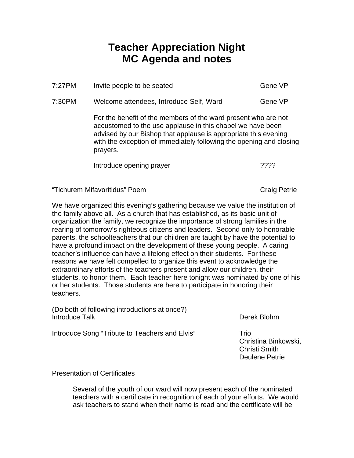## **Teacher Appreciation Night MC Agenda and notes**

| $7:27$ PM | Invite people to be seated                                                                                                                                                                                                                                                         | Gene VP |
|-----------|------------------------------------------------------------------------------------------------------------------------------------------------------------------------------------------------------------------------------------------------------------------------------------|---------|
| 7:30PM    | Welcome attendees, Introduce Self, Ward                                                                                                                                                                                                                                            | Gene VP |
|           | For the benefit of the members of the ward present who are not<br>accustomed to the use applause in this chapel we have been<br>advised by our Bishop that applause is appropriate this evening<br>with the exception of immediately following the opening and closing<br>prayers. |         |
|           | Introduce opening prayer                                                                                                                                                                                                                                                           | ????    |
|           |                                                                                                                                                                                                                                                                                    |         |

"Tichurem Mifavoritidus" Poem Craig Petrie

We have organized this evening's gathering because we value the institution of the family above all. As a church that has established, as its basic unit of organization the family, we recognize the importance of strong families in the rearing of tomorrow's righteous citizens and leaders. Second only to honorable parents, the schoolteachers that our children are taught by have the potential to have a profound impact on the development of these young people. A caring teacher's influence can have a lifelong effect on their students. For these reasons we have felt compelled to organize this event to acknowledge the extraordinary efforts of the teachers present and allow our children, their students, to honor them. Each teacher here tonight was nominated by one of his or her students. Those students are here to participate in honoring their teachers.

(Do both of following introductions at once?) Introduce Talk Derek Blohm

Introduce Song "Tribute to Teachers and Elvis" Trio

Christina Binkowski, Christi Smith Deulene Petrie

Presentation of Certificates

Several of the youth of our ward will now present each of the nominated teachers with a certificate in recognition of each of your efforts. We would ask teachers to stand when their name is read and the certificate will be